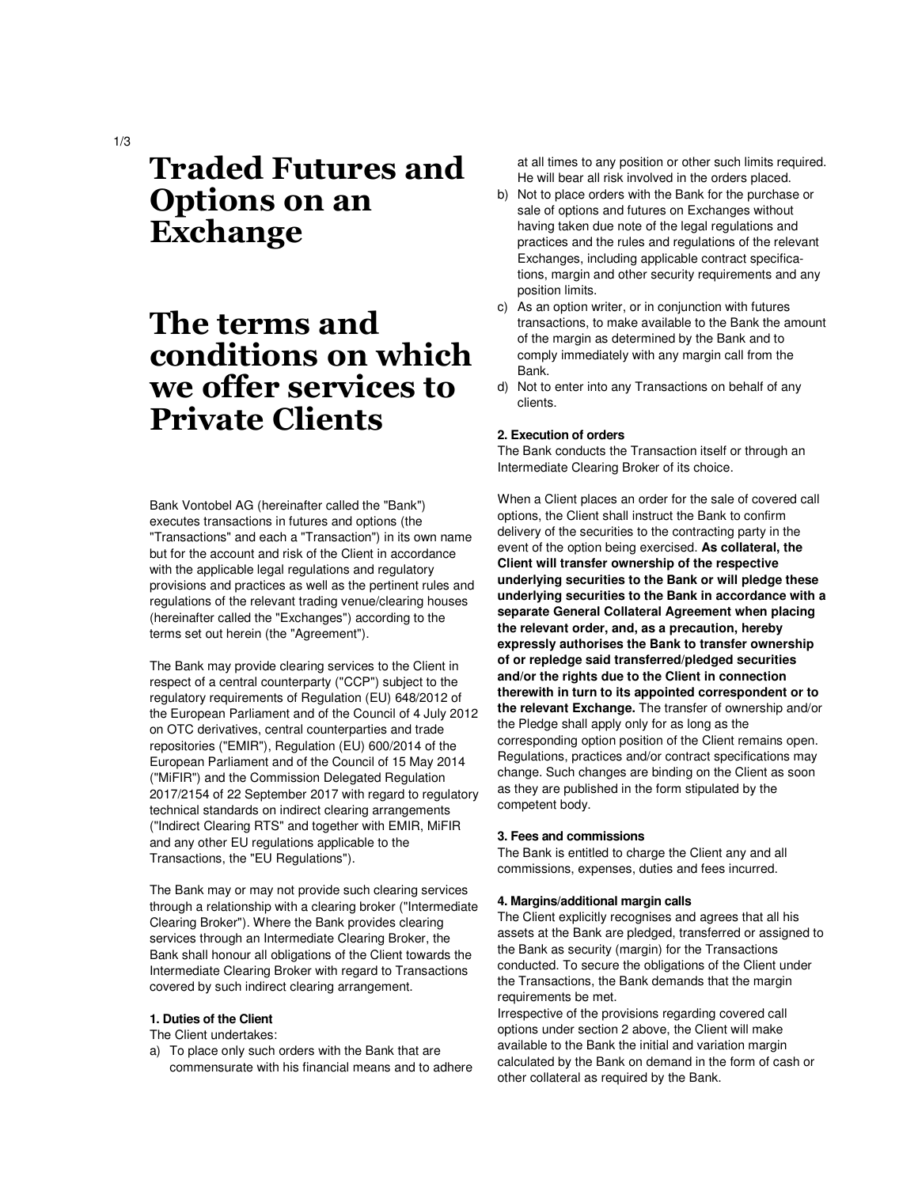# **Traded Futures and Options on an Exchange**

# **The terms and conditions on which we offer services to Private Clients**

Bank Vontobel AG (hereinafter called the "Bank") executes transactions in futures and options (the "Transactions" and each a "Transaction") in its own name but for the account and risk of the Client in accordance with the applicable legal regulations and regulatory provisions and practices as well as the pertinent rules and regulations of the relevant trading venue/clearing houses (hereinafter called the "Exchanges") according to the terms set out herein (the "Agreement").

The Bank may provide clearing services to the Client in respect of a central counterparty ("CCP") subject to the regulatory requirements of Regulation (EU) 648/2012 of the European Parliament and of the Council of 4 July 2012 on OTC derivatives, central counterparties and trade repositories ("EMIR"), Regulation (EU) 600/2014 of the European Parliament and of the Council of 15 May 2014 ("MiFIR") and the Commission Delegated Regulation 2017/2154 of 22 September 2017 with regard to regulatory technical standards on indirect clearing arrangements ("Indirect Clearing RTS" and together with EMIR, MiFIR and any other EU regulations applicable to the Transactions, the "EU Regulations").

The Bank may or may not provide such clearing services through a relationship with a clearing broker ("Intermediate Clearing Broker"). Where the Bank provides clearing services through an Intermediate Clearing Broker, the Bank shall honour all obligations of the Client towards the Intermediate Clearing Broker with regard to Transactions covered by such indirect clearing arrangement.

## **1. Duties of the Client**

The Client undertakes:

a) To place only such orders with the Bank that are commensurate with his financial means and to adhere

at all times to any position or other such limits required. He will bear all risk involved in the orders placed.

- b) Not to place orders with the Bank for the purchase or sale of options and futures on Exchanges without having taken due note of the legal regulations and practices and the rules and regulations of the relevant Exchanges, including applicable contract specifications, margin and other security requirements and any position limits.
- c) As an option writer, or in conjunction with futures transactions, to make available to the Bank the amount of the margin as determined by the Bank and to comply immediately with any margin call from the Bank.
- d) Not to enter into any Transactions on behalf of any clients.

### **2. Execution of orders**

The Bank conducts the Transaction itself or through an Intermediate Clearing Broker of its choice.

When a Client places an order for the sale of covered call options, the Client shall instruct the Bank to confirm delivery of the securities to the contracting party in the event of the option being exercised. **As collateral, the Client will transfer ownership of the respective underlying securities to the Bank or will pledge these underlying securities to the Bank in accordance with a separate General Collateral Agreement when placing the relevant order, and, as a precaution, hereby expressly authorises the Bank to transfer ownership of or repledge said transferred/pledged securities and/or the rights due to the Client in connection therewith in turn to its appointed correspondent or to the relevant Exchange.** The transfer of ownership and/or the Pledge shall apply only for as long as the corresponding option position of the Client remains open. Regulations, practices and/or contract specifications may change. Such changes are binding on the Client as soon as they are published in the form stipulated by the competent body.

#### **3. Fees and commissions**

The Bank is entitled to charge the Client any and all commissions, expenses, duties and fees incurred.

#### **4. Margins/additional margin calls**

The Client explicitly recognises and agrees that all his assets at the Bank are pledged, transferred or assigned to the Bank as security (margin) for the Transactions conducted. To secure the obligations of the Client under the Transactions, the Bank demands that the margin requirements be met.

Irrespective of the provisions regarding covered call options under section 2 above, the Client will make available to the Bank the initial and variation margin calculated by the Bank on demand in the form of cash or other collateral as required by the Bank.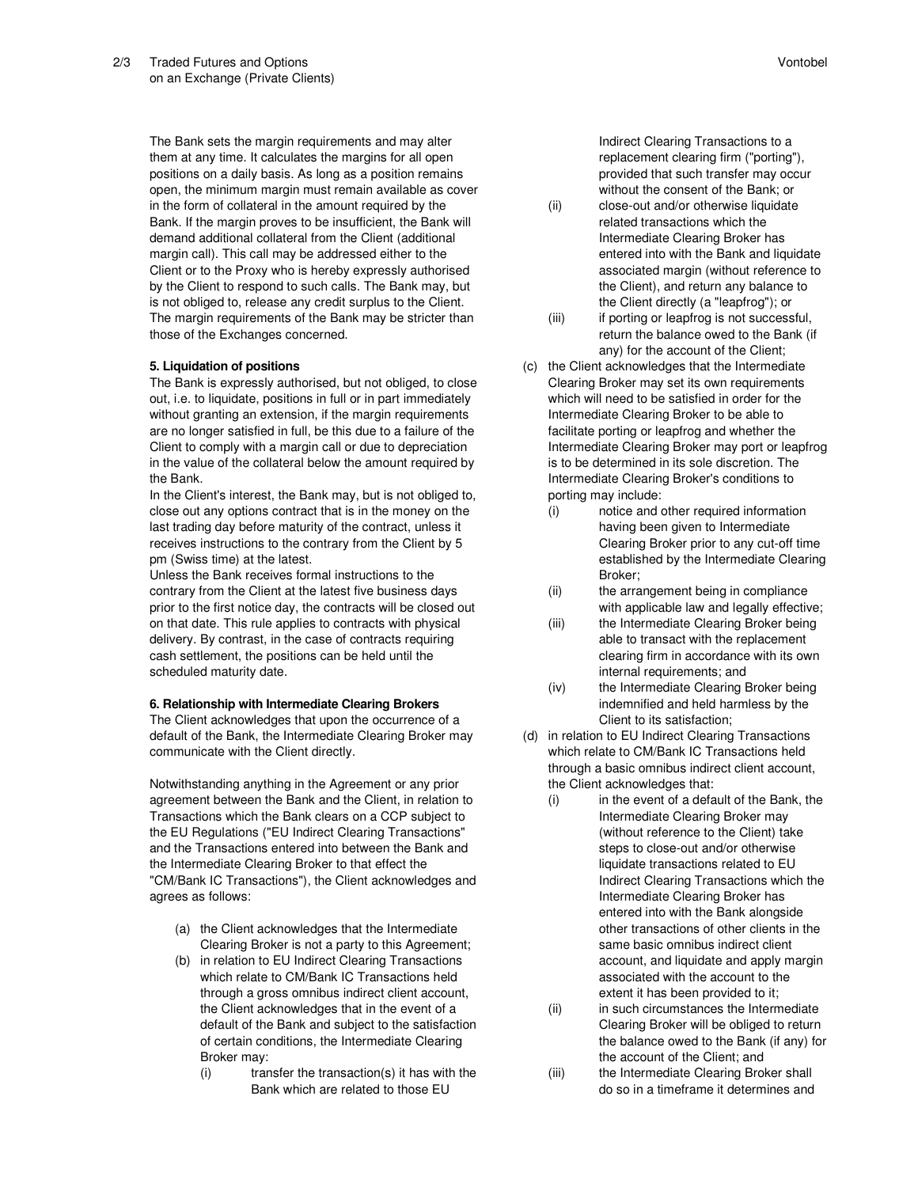The Bank sets the margin requirements and may alter them at any time. It calculates the margins for all open positions on a daily basis. As long as a position remains open, the minimum margin must remain available as cover in the form of collateral in the amount required by the Bank. If the margin proves to be insufficient, the Bank will demand additional collateral from the Client (additional margin call). This call may be addressed either to the Client or to the Proxy who is hereby expressly authorised by the Client to respond to such calls. The Bank may, but is not obliged to, release any credit surplus to the Client. The margin requirements of the Bank may be stricter than those of the Exchanges concerned.

# **5. Liquidation of positions**

The Bank is expressly authorised, but not obliged, to close out, i.e. to liquidate, positions in full or in part immediately without granting an extension, if the margin requirements are no longer satisfied in full, be this due to a failure of the Client to comply with a margin call or due to depreciation in the value of the collateral below the amount required by the Bank.

In the Client's interest, the Bank may, but is not obliged to, close out any options contract that is in the money on the last trading day before maturity of the contract, unless it receives instructions to the contrary from the Client by 5 pm (Swiss time) at the latest.

Unless the Bank receives formal instructions to the contrary from the Client at the latest five business days prior to the first notice day, the contracts will be closed out on that date. This rule applies to contracts with physical delivery. By contrast, in the case of contracts requiring cash settlement, the positions can be held until the scheduled maturity date.

### **6. Relationship with Intermediate Clearing Brokers**

The Client acknowledges that upon the occurrence of a default of the Bank, the Intermediate Clearing Broker may communicate with the Client directly.

Notwithstanding anything in the Agreement or any prior agreement between the Bank and the Client, in relation to Transactions which the Bank clears on a CCP subject to the EU Regulations ("EU Indirect Clearing Transactions" and the Transactions entered into between the Bank and the Intermediate Clearing Broker to that effect the "CM/Bank IC Transactions"), the Client acknowledges and agrees as follows:

- (a) the Client acknowledges that the Intermediate Clearing Broker is not a party to this Agreement;
- (b) in relation to EU Indirect Clearing Transactions which relate to CM/Bank IC Transactions held through a gross omnibus indirect client account, the Client acknowledges that in the event of a default of the Bank and subject to the satisfaction of certain conditions, the Intermediate Clearing Broker may:
	- $(i)$  transfer the transaction(s) it has with the Bank which are related to those EU

Indirect Clearing Transactions to a replacement clearing firm ("porting"), provided that such transfer may occur without the consent of the Bank; or

- (ii) close-out and/or otherwise liquidate related transactions which the Intermediate Clearing Broker has entered into with the Bank and liquidate associated margin (without reference to the Client), and return any balance to the Client directly (a "leapfrog"); or
- (iii) if porting or leapfrog is not successful, return the balance owed to the Bank (if any) for the account of the Client;
- (c) the Client acknowledges that the Intermediate Clearing Broker may set its own requirements which will need to be satisfied in order for the Intermediate Clearing Broker to be able to facilitate porting or leapfrog and whether the Intermediate Clearing Broker may port or leapfrog is to be determined in its sole discretion. The Intermediate Clearing Broker's conditions to porting may include:
	- (i) notice and other required information having been given to Intermediate Clearing Broker prior to any cut-off time established by the Intermediate Clearing Broker;
	- (ii) the arrangement being in compliance with applicable law and legally effective;
	- (iii) the Intermediate Clearing Broker being able to transact with the replacement clearing firm in accordance with its own internal requirements; and
	- (iv) the Intermediate Clearing Broker being indemnified and held harmless by the Client to its satisfaction;
- (d) in relation to EU Indirect Clearing Transactions which relate to CM/Bank IC Transactions held through a basic omnibus indirect client account, the Client acknowledges that:
	- (i) in the event of a default of the Bank, the Intermediate Clearing Broker may (without reference to the Client) take steps to close-out and/or otherwise liquidate transactions related to EU Indirect Clearing Transactions which the Intermediate Clearing Broker has entered into with the Bank alongside other transactions of other clients in the same basic omnibus indirect client account, and liquidate and apply margin associated with the account to the extent it has been provided to it;
	- (ii) in such circumstances the Intermediate Clearing Broker will be obliged to return the balance owed to the Bank (if any) for the account of the Client; and
	- (iii) the Intermediate Clearing Broker shall do so in a timeframe it determines and